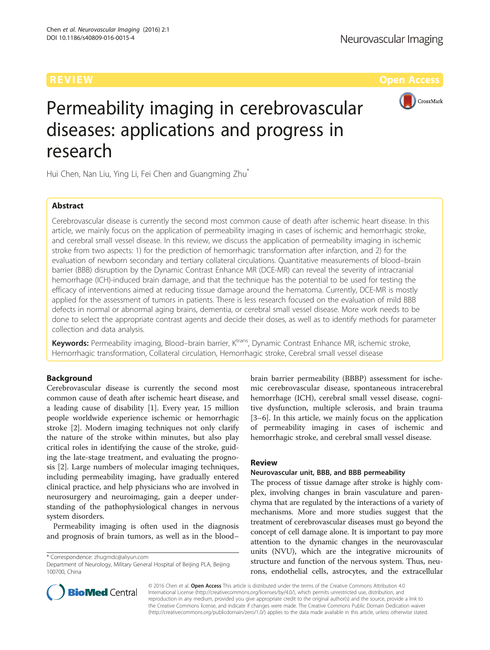

# Permeability imaging in cerebrovascular diseases: applications and progress in research

Hui Chen, Nan Liu, Ying Li, Fei Chen and Guangming Zhu<sup>®</sup>

# Abstract

Cerebrovascular disease is currently the second most common cause of death after ischemic heart disease. In this article, we mainly focus on the application of permeability imaging in cases of ischemic and hemorrhagic stroke, and cerebral small vessel disease. In this review, we discuss the application of permeability imaging in ischemic stroke from two aspects: 1) for the prediction of hemorrhagic transformation after infarction, and 2) for the evaluation of newborn secondary and tertiary collateral circulations. Quantitative measurements of blood–brain barrier (BBB) disruption by the Dynamic Contrast Enhance MR (DCE-MR) can reveal the severity of intracranial hemorrhage (ICH)-induced brain damage, and that the technique has the potential to be used for testing the efficacy of interventions aimed at reducing tissue damage around the hematoma. Currently, DCE-MR is mostly applied for the assessment of tumors in patients. There is less research focused on the evaluation of mild BBB defects in normal or abnormal aging brains, dementia, or cerebral small vessel disease. More work needs to be done to select the appropriate contrast agents and decide their doses, as well as to identify methods for parameter collection and data analysis.

Keywords: Permeability imaging, Blood–brain barrier, K<sup>trans</sup>, Dynamic Contrast Enhance MR, ischemic stroke, Hemorrhagic transformation, Collateral circulation, Hemorrhagic stroke, Cerebral small vessel disease

# Background

Cerebrovascular disease is currently the second most common cause of death after ischemic heart disease, and a leading cause of disability [[1\]](#page-4-0). Every year, 15 million people worldwide experience ischemic or hemorrhagic stroke [\[2](#page-4-0)]. Modern imaging techniques not only clarify the nature of the stroke within minutes, but also play critical roles in identifying the cause of the stroke, guiding the late-stage treatment, and evaluating the prognosis [\[2](#page-4-0)]. Large numbers of molecular imaging techniques, including permeability imaging, have gradually entered clinical practice, and help physicians who are involved in neurosurgery and neuroimaging, gain a deeper understanding of the pathophysiological changes in nervous system disorders.

Permeability imaging is often used in the diagnosis and prognosis of brain tumors, as well as in the blood–

\* Correspondence: [zhugmdc@aliyun.com](mailto:zhugmdc@aliyun.com)

brain barrier permeability (BBBP) assessment for ischemic cerebrovascular disease, spontaneous intracerebral hemorrhage (ICH), cerebral small vessel disease, cognitive dysfunction, multiple sclerosis, and brain trauma [[3](#page-4-0)–[6\]](#page-4-0). In this article, we mainly focus on the application of permeability imaging in cases of ischemic and hemorrhagic stroke, and cerebral small vessel disease.

# Review

### Neurovascular unit, BBB, and BBB permeability

The process of tissue damage after stroke is highly complex, involving changes in brain vasculature and parenchyma that are regulated by the interactions of a variety of mechanisms. More and more studies suggest that the treatment of cerebrovascular diseases must go beyond the concept of cell damage alone. It is important to pay more attention to the dynamic changes in the neurovascular units (NVU), which are the integrative microunits of structure and function of the nervous system. Thus, neurons, endothelial cells, astrocytes, and the extracellular



© 2016 Chen et al. Open Access This article is distributed under the terms of the Creative Commons Attribution 4.0 International License [\(http://creativecommons.org/licenses/by/4.0/](http://creativecommons.org/licenses/by/4.0/)), which permits unrestricted use, distribution, and reproduction in any medium, provided you give appropriate credit to the original author(s) and the source, provide a link to the Creative Commons license, and indicate if changes were made. The Creative Commons Public Domain Dedication waiver [\(http://creativecommons.org/publicdomain/zero/1.0/](http://creativecommons.org/publicdomain/zero/1.0/)) applies to the data made available in this article, unless otherwise stated.

Department of Neurology, Military General Hospital of Beijing PLA, Beijing 100700, China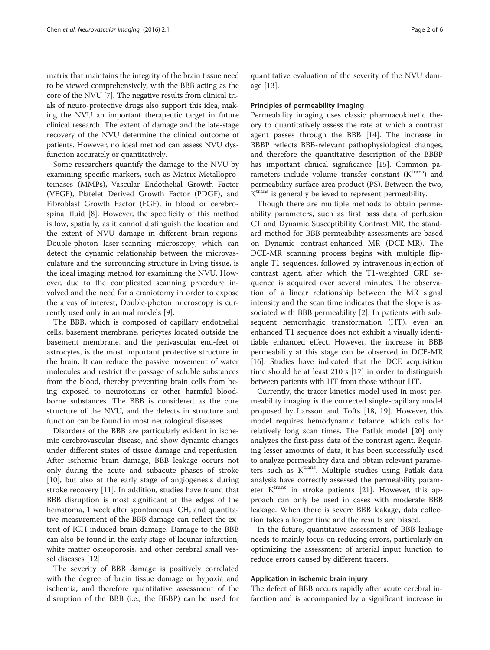matrix that maintains the integrity of the brain tissue need to be viewed comprehensively, with the BBB acting as the core of the NVU [\[7](#page-4-0)]. The negative results from clinical trials of neuro-protective drugs also support this idea, making the NVU an important therapeutic target in future clinical research. The extent of damage and the late-stage recovery of the NVU determine the clinical outcome of patients. However, no ideal method can assess NVU dysfunction accurately or quantitatively.

Some researchers quantify the damage to the NVU by examining specific markers, such as Matrix Metalloproteinases (MMPs), Vascular Endothelial Growth Factor (VEGF), Platelet Derived Growth Factor (PDGF), and Fibroblast Growth Factor (FGF), in blood or cerebrospinal fluid [\[8](#page-4-0)]. However, the specificity of this method is low, spatially, as it cannot distinguish the location and the extent of NVU damage in different brain regions. Double-photon laser-scanning microscopy, which can detect the dynamic relationship between the microvasculature and the surrounding structure in living tissue, is the ideal imaging method for examining the NVU. However, due to the complicated scanning procedure involved and the need for a craniotomy in order to expose the areas of interest, Double-photon microscopy is currently used only in animal models [\[9\]](#page-4-0).

The BBB, which is composed of capillary endothelial cells, basement membrane, pericytes located outside the basement membrane, and the perivascular end-feet of astrocytes, is the most important protective structure in the brain. It can reduce the passive movement of water molecules and restrict the passage of soluble substances from the blood, thereby preventing brain cells from being exposed to neurotoxins or other harmful bloodborne substances. The BBB is considered as the core structure of the NVU, and the defects in structure and function can be found in most neurological diseases.

Disorders of the BBB are particularly evident in ischemic cerebrovascular disease, and show dynamic changes under different states of tissue damage and reperfusion. After ischemic brain damage, BBB leakage occurs not only during the acute and subacute phases of stroke [[10\]](#page-4-0), but also at the early stage of angiogenesis during stroke recovery [[11\]](#page-4-0). In addition, studies have found that BBB disruption is most significant at the edges of the hematoma, 1 week after spontaneous ICH, and quantitative measurement of the BBB damage can reflect the extent of ICH-induced brain damage. Damage to the BBB can also be found in the early stage of lacunar infarction, white matter osteoporosis, and other cerebral small vessel diseases [[12\]](#page-4-0).

The severity of BBB damage is positively correlated with the degree of brain tissue damage or hypoxia and ischemia, and therefore quantitative assessment of the disruption of the BBB (i.e., the BBBP) can be used for

quantitative evaluation of the severity of the NVU damage [\[13](#page-4-0)].

#### Principles of permeability imaging

Permeability imaging uses classic pharmacokinetic theory to quantitatively assess the rate at which a contrast agent passes through the BBB [\[14](#page-4-0)]. The increase in BBBP reflects BBB-relevant pathophysiological changes, and therefore the quantitative description of the BBBP has important clinical significance [[15](#page-4-0)]. Common parameters include volume transfer constant  $(K<sup>trans</sup>)$  and permeability-surface area product (PS). Between the two, K<sup>trans</sup> is generally believed to represent permeability.

Though there are multiple methods to obtain permeability parameters, such as first pass data of perfusion CT and Dynamic Susceptibility Contrast MR, the standard method for BBB permeability assessments are based on Dynamic contrast-enhanced MR (DCE-MR). The DCE-MR scanning process begins with multiple flipangle T1 sequences, followed by intravenous injection of contrast agent, after which the T1-weighted GRE sequence is acquired over several minutes. The observation of a linear relationship between the MR signal intensity and the scan time indicates that the slope is associated with BBB permeability [\[2](#page-4-0)]. In patients with subsequent hemorrhagic transformation (HT), even an enhanced T1 sequence does not exhibit a visually identifiable enhanced effect. However, the increase in BBB permeability at this stage can be observed in DCE-MR [[16\]](#page-4-0). Studies have indicated that the DCE acquisition time should be at least 210 s [[17\]](#page-4-0) in order to distinguish between patients with HT from those without HT.

Currently, the tracer kinetics model used in most permeability imaging is the corrected single-capillary model proposed by Larsson and Tofts [\[18](#page-4-0), [19\]](#page-4-0). However, this model requires hemodynamic balance, which calls for relatively long scan times. The Patlak model [\[20](#page-5-0)] only analyzes the first-pass data of the contrast agent. Requiring lesser amounts of data, it has been successfully used to analyze permeability data and obtain relevant parameters such as K<sup>trans</sup>. Multiple studies using Patlak data analysis have correctly assessed the permeability parameter  $K<sup>trans</sup>$  in stroke patients [[21\]](#page-5-0). However, this approach can only be used in cases with moderate BBB leakage. When there is severe BBB leakage, data collection takes a longer time and the results are biased.

In the future, quantitative assessment of BBB leakage needs to mainly focus on reducing errors, particularly on optimizing the assessment of arterial input function to reduce errors caused by different tracers.

#### Application in ischemic brain injury

The defect of BBB occurs rapidly after acute cerebral infarction and is accompanied by a significant increase in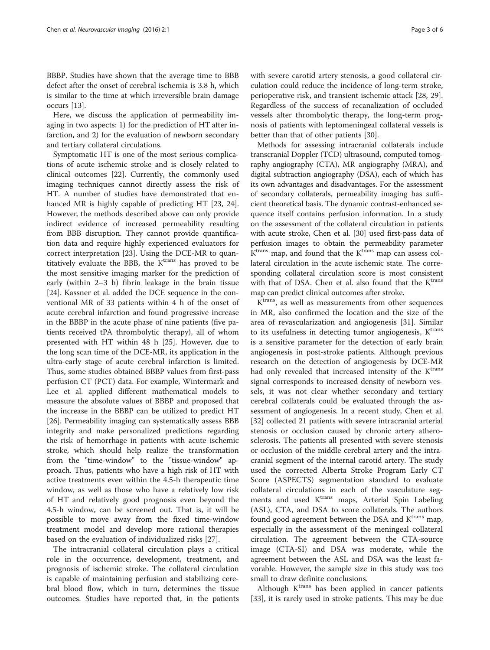BBBP. Studies have shown that the average time to BBB defect after the onset of cerebral ischemia is 3.8 h, which is similar to the time at which irreversible brain damage occurs [[13](#page-4-0)].

Here, we discuss the application of permeability imaging in two aspects: 1) for the prediction of HT after infarction, and 2) for the evaluation of newborn secondary and tertiary collateral circulations.

Symptomatic HT is one of the most serious complications of acute ischemic stroke and is closely related to clinical outcomes [\[22](#page-5-0)]. Currently, the commonly used imaging techniques cannot directly assess the risk of HT. A number of studies have demonstrated that enhanced MR is highly capable of predicting HT [[23](#page-5-0), [24](#page-5-0)]. However, the methods described above can only provide indirect evidence of increased permeability resulting from BBB disruption. They cannot provide quantification data and require highly experienced evaluators for correct interpretation [[23\]](#page-5-0). Using the DCE-MR to quantitatively evaluate the BBB, the  $K<sup>trans</sup>$  has proved to be the most sensitive imaging marker for the prediction of early (within 2–3 h) fibrin leakage in the brain tissue [[24\]](#page-5-0). Kassner et al. added the DCE sequence in the conventional MR of 33 patients within 4 h of the onset of acute cerebral infarction and found progressive increase in the BBBP in the acute phase of nine patients (five patients received tPA thrombolytic therapy), all of whom presented with HT within 48 h [\[25](#page-5-0)]. However, due to the long scan time of the DCE-MR, its application in the ultra-early stage of acute cerebral infarction is limited. Thus, some studies obtained BBBP values from first-pass perfusion CT (PCT) data. For example, Wintermark and Lee et al. applied different mathematical models to measure the absolute values of BBBP and proposed that the increase in the BBBP can be utilized to predict HT [[26\]](#page-5-0). Permeability imaging can systematically assess BBB integrity and make personalized predictions regarding the risk of hemorrhage in patients with acute ischemic stroke, which should help realize the transformation from the "time-window" to the "tissue-window" approach. Thus, patients who have a high risk of HT with active treatments even within the 4.5-h therapeutic time window, as well as those who have a relatively low risk of HT and relatively good prognosis even beyond the 4.5-h window, can be screened out. That is, it will be possible to move away from the fixed time-window treatment model and develop more rational therapies based on the evaluation of individualized risks [\[27](#page-5-0)].

The intracranial collateral circulation plays a critical role in the occurrence, development, treatment, and prognosis of ischemic stroke. The collateral circulation is capable of maintaining perfusion and stabilizing cerebral blood flow, which in turn, determines the tissue outcomes. Studies have reported that, in the patients with severe carotid artery stenosis, a good collateral circulation could reduce the incidence of long-term stroke, perioperative risk, and transient ischemic attack [\[28](#page-5-0), [29](#page-5-0)]. Regardless of the success of recanalization of occluded vessels after thrombolytic therapy, the long-term prognosis of patients with leptomeningeal collateral vessels is better than that of other patients [[30\]](#page-5-0).

Methods for assessing intracranial collaterals include transcranial Doppler (TCD) ultrasound, computed tomography angiography (CTA), MR angiography (MRA), and digital subtraction angiography (DSA), each of which has its own advantages and disadvantages. For the assessment of secondary collaterals, permeability imaging has sufficient theoretical basis. The dynamic contrast-enhanced sequence itself contains perfusion information. In a study on the assessment of the collateral circulation in patients with acute stroke, Chen et al. [[30](#page-5-0)] used first-pass data of perfusion images to obtain the permeability parameter  $K<sup>trans</sup>$  map, and found that the  $K<sup>trans</sup>$  map can assess collateral circulation in the acute ischemic state. The corresponding collateral circulation score is most consistent with that of DSA. Chen et al. also found that the K<sup>trans</sup> map can predict clinical outcomes after stroke.

K<sup>trans</sup>, as well as measurements from other sequences in MR, also confirmed the location and the size of the area of revascularization and angiogenesis [\[31\]](#page-5-0). Similar to its usefulness in detecting tumor angiogenesis,  $K<sup>trans</sup>$ is a sensitive parameter for the detection of early brain angiogenesis in post-stroke patients. Although previous research on the detection of angiogenesis by DCE-MR had only revealed that increased intensity of the  $K<sup>trans</sup>$ signal corresponds to increased density of newborn vessels, it was not clear whether secondary and tertiary cerebral collaterals could be evaluated through the assessment of angiogenesis. In a recent study, Chen et al. [[32\]](#page-5-0) collected 21 patients with severe intracranial arterial stenosis or occlusion caused by chronic artery atherosclerosis. The patients all presented with severe stenosis or occlusion of the middle cerebral artery and the intracranial segment of the internal carotid artery. The study used the corrected Alberta Stroke Program Early CT Score (ASPECTS) segmentation standard to evaluate collateral circulations in each of the vasculature segments and used K<sup>trans</sup> maps, Arterial Spin Labeling (ASL), CTA, and DSA to score collaterals. The authors found good agreement between the DSA and K<sup>trans</sup> map, especially in the assessment of the meningeal collateral circulation. The agreement between the CTA-source image (CTA-SI) and DSA was moderate, while the agreement between the ASL and DSA was the least favorable. However, the sample size in this study was too small to draw definite conclusions.

Although K<sup>trans</sup> has been applied in cancer patients [[33\]](#page-5-0), it is rarely used in stroke patients. This may be due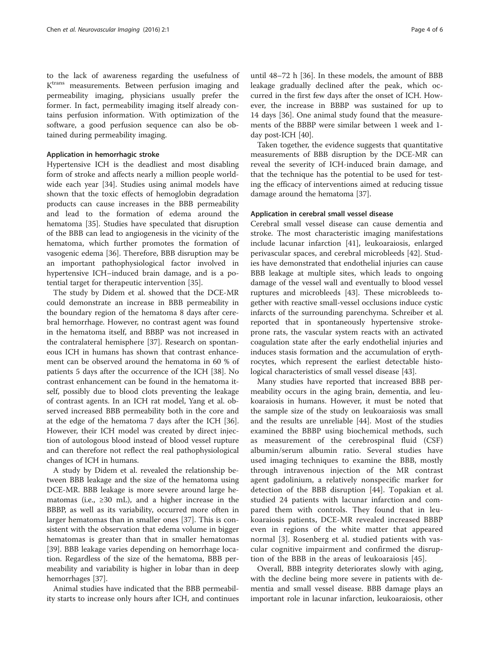to the lack of awareness regarding the usefulness of K<sup>trans</sup> measurements. Between perfusion imaging and permeability imaging, physicians usually prefer the former. In fact, permeability imaging itself already contains perfusion information. With optimization of the software, a good perfusion sequence can also be obtained during permeability imaging.

#### Application in hemorrhagic stroke

Hypertensive ICH is the deadliest and most disabling form of stroke and affects nearly a million people worldwide each year [\[34](#page-5-0)]. Studies using animal models have shown that the toxic effects of hemoglobin degradation products can cause increases in the BBB permeability and lead to the formation of edema around the hematoma [[35\]](#page-5-0). Studies have speculated that disruption of the BBB can lead to angiogenesis in the vicinity of the hematoma, which further promotes the formation of vasogenic edema [[36\]](#page-5-0). Therefore, BBB disruption may be an important pathophysiological factor involved in hypertensive ICH–induced brain damage, and is a potential target for therapeutic intervention [[35](#page-5-0)].

The study by Didem et al. showed that the DCE-MR could demonstrate an increase in BBB permeability in the boundary region of the hematoma 8 days after cerebral hemorrhage. However, no contrast agent was found in the hematoma itself, and BBBP was not increased in the contralateral hemisphere [[37\]](#page-5-0). Research on spontaneous ICH in humans has shown that contrast enhancement can be observed around the hematoma in 60 % of patients 5 days after the occurrence of the ICH [[38](#page-5-0)]. No contrast enhancement can be found in the hematoma itself, possibly due to blood clots preventing the leakage of contrast agents. In an ICH rat model, Yang et al. observed increased BBB permeability both in the core and at the edge of the hematoma 7 days after the ICH [\[36](#page-5-0)]. However, their ICH model was created by direct injection of autologous blood instead of blood vessel rupture and can therefore not reflect the real pathophysiological changes of ICH in humans.

A study by Didem et al. revealed the relationship between BBB leakage and the size of the hematoma using DCE-MR. BBB leakage is more severe around large hematomas (i.e.,  $\geq 30$  mL), and a higher increase in the BBBP, as well as its variability, occurred more often in larger hematomas than in smaller ones [\[37](#page-5-0)]. This is consistent with the observation that edema volume in bigger hematomas is greater than that in smaller hematomas [[39\]](#page-5-0). BBB leakage varies depending on hemorrhage location. Regardless of the size of the hematoma, BBB permeability and variability is higher in lobar than in deep hemorrhages [[37\]](#page-5-0).

Animal studies have indicated that the BBB permeability starts to increase only hours after ICH, and continues

until 48–72 h [\[36\]](#page-5-0). In these models, the amount of BBB leakage gradually declined after the peak, which occurred in the first few days after the onset of ICH. However, the increase in BBBP was sustained for up to 14 days [\[36](#page-5-0)]. One animal study found that the measurements of the BBBP were similar between 1 week and 1 day post-ICH [[40\]](#page-5-0).

Taken together, the evidence suggests that quantitative measurements of BBB disruption by the DCE-MR can reveal the severity of ICH-induced brain damage, and that the technique has the potential to be used for testing the efficacy of interventions aimed at reducing tissue damage around the hematoma [\[37\]](#page-5-0).

#### Application in cerebral small vessel disease

Cerebral small vessel disease can cause dementia and stroke. The most characteristic imaging manifestations include lacunar infarction [\[41](#page-5-0)], leukoaraiosis, enlarged perivascular spaces, and cerebral microbleeds [[42\]](#page-5-0). Studies have demonstrated that endothelial injuries can cause BBB leakage at multiple sites, which leads to ongoing damage of the vessel wall and eventually to blood vessel ruptures and microbleeds [\[43](#page-5-0)]. These microbleeds together with reactive small-vessel occlusions induce cystic infarcts of the surrounding parenchyma. Schreiber et al. reported that in spontaneously hypertensive strokeprone rats, the vascular system reacts with an activated coagulation state after the early endothelial injuries and induces stasis formation and the accumulation of erythrocytes, which represent the earliest detectable histological characteristics of small vessel disease [\[43](#page-5-0)].

Many studies have reported that increased BBB permeability occurs in the aging brain, dementia, and leukoaraiosis in humans. However, it must be noted that the sample size of the study on leukoaraiosis was small and the results are unreliable [\[44](#page-5-0)]. Most of the studies examined the BBBP using biochemical methods, such as measurement of the cerebrospinal fluid (CSF) albumin/serum albumin ratio. Several studies have used imaging techniques to examine the BBB, mostly through intravenous injection of the MR contrast agent gadolinium, a relatively nonspecific marker for detection of the BBB disruption [44]. Topakian et al. studied 24 patients with lacunar infarction and compared them with controls. They found that in leukoaraiosis patients, DCE-MR revealed increased BBBP even in regions of the white matter that appeared normal [[3\]](#page-4-0). Rosenberg et al. studied patients with vascular cognitive impairment and confirmed the disruption of the BBB in the areas of leukoaraiosis [\[45](#page-5-0)].

Overall, BBB integrity deteriorates slowly with aging, with the decline being more severe in patients with dementia and small vessel disease. BBB damage plays an important role in lacunar infarction, leukoaraiosis, other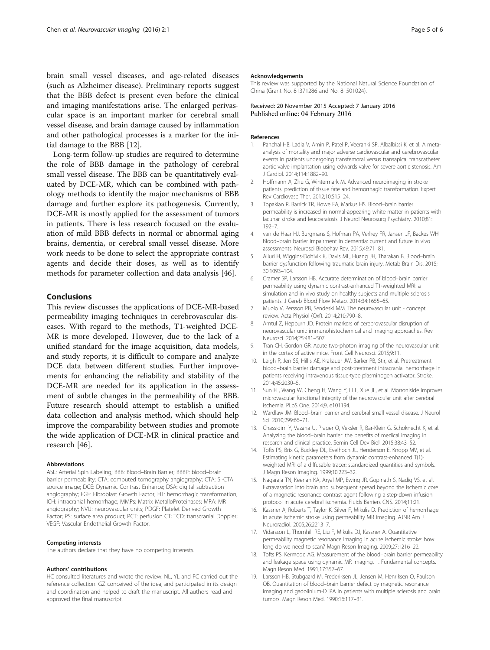<span id="page-4-0"></span>brain small vessel diseases, and age-related diseases (such as Alzheimer disease). Preliminary reports suggest that the BBB defect is present even before the clinical and imaging manifestations arise. The enlarged perivascular space is an important marker for cerebral small vessel disease, and brain damage caused by inflammation and other pathological processes is a marker for the initial damage to the BBB [12].

Long-term follow-up studies are required to determine the role of BBB damage in the pathology of cerebral small vessel disease. The BBB can be quantitatively evaluated by DCE-MR, which can be combined with pathology methods to identify the major mechanisms of BBB damage and further explore its pathogenesis. Currently, DCE-MR is mostly applied for the assessment of tumors in patients. There is less research focused on the evaluation of mild BBB defects in normal or abnormal aging brains, dementia, or cerebral small vessel disease. More work needs to be done to select the appropriate contrast agents and decide their doses, as well as to identify methods for parameter collection and data analysis [\[46\]](#page-5-0).

### Conclusions

This review discusses the applications of DCE-MR-based permeability imaging techniques in cerebrovascular diseases. With regard to the methods, T1-weighted DCE-MR is more developed. However, due to the lack of a unified standard for the image acquisition, data models, and study reports, it is difficult to compare and analyze DCE data between different studies. Further improvements for enhancing the reliability and stability of the DCE-MR are needed for its application in the assessment of subtle changes in the permeability of the BBB. Future research should attempt to establish a unified data collection and analysis method, which should help improve the comparability between studies and promote the wide application of DCE-MR in clinical practice and research [[46\]](#page-5-0).

#### Abbreviations

ASL: Arterial Spin Labeling; BBB: Blood–Brain Barrier; BBBP: blood–brain barrier permeability; CTA: computed tomography angiography; CTA: SI-CTA source image; DCE: Dynamic Contrast Enhance; DSA: digital subtraction angiography; FGF: Fibroblast Growth Factor; HT: hemorrhagic transformation; ICH: intracranial hemorrhage; MMPs: Matrix MetalloProteinases; MRA: MR angiography; NVU: neurovascular units; PDGF: Platelet Derived Growth Factor; PS: surface area product; PCT: perfusion CT; TCD: transcranial Doppler; VEGF: Vascular Endothelial Growth Factor.

#### Competing interests

The authors declare that they have no competing interests.

#### Authors' contributions

HC consulted literatures and wrote the review. NL, YL and FC carried out the reference collection. GZ conceived of the idea, and participated in its design and coordination and helped to draft the manuscript. All authors read and approved the final manuscript.

#### Acknowledgements

This review was supported by the National Natural Science Foundation of China (Grant No. 81371286 and No. 81501024).

#### Received: 20 November 2015 Accepted: 7 January 2016 Published online: 04 February 2016

#### References

- 1. Panchal HB, Ladia V, Amin P, Patel P, Veeranki SP, Albalbissi K, et al. A metaanalysis of mortality and major adverse cardiovascular and cerebrovascular events in patients undergoing transfemoral versus transapical transcatheter aortic valve implantation using edwards valve for severe aortic stenosis. Am J Cardiol. 2014;114:1882–90.
- 2. Hoffmann A, Zhu G, Wintermark M, Advanced neuroimaging in stroke patients: prediction of tissue fate and hemorrhagic transformation. Expert Rev Cardiovasc Ther. 2012;10:515–24.
- 3. Topakian R, Barrick TR, Howe FA, Markus HS. Blood–brain barrier permeability is increased in normal-appearing white matter in patients with lacunar stroke and leucoaraiosis. J Neurol Neurosurg Psychiatry. 2010;81: 192–7.
- 4. van de Haar HJ, Burgmans S, Hofman PA, Verhey FR, Jansen JF, Backes WH. Blood–brain barrier impairment in dementia: current and future in vivo assessments. Neurosci Biobehav Rev. 2015;49:71–81.
- 5. Alluri H, Wiggins-Dohlvik K, Davis ML, Huang JH, Tharakan B. Blood–brain barrier dysfunction following traumatic brain injury. Metab Brain Dis. 2015; 30:1093–104.
- 6. Cramer SP, Larsson HB. Accurate determination of blood–brain barrier permeability using dynamic contrast-enhanced T1-weighted MRI: a simulation and in vivo study on healthy subjects and multiple sclerosis patients. J Cereb Blood Flow Metab. 2014;34:1655–65.
- 7. Muoio V, Persson PB, Sendeski MM. The neurovascular unit concept review. Acta Physiol (Oxf). 2014;210:790–8.
- 8. Amtul Z, Hepburn JD. Protein markers of cerebrovascular disruption of neurovascular unit: immunohistochemical and imaging approaches. Rev Neurosci. 2014;25:481–507.
- 9. Tran CH, Gordon GR. Acute two-photon imaging of the neurovascular unit in the cortex of active mice. Front Cell Neurosci. 2015;9:11.
- 10. Leigh R, Jen SS, Hillis AE, Krakauer JW, Barker PB, Stir, et al. Pretreatment blood–brain barrier damage and post-treatment intracranial hemorrhage in patients receiving intravenous tissue-type plasminogen activator. Stroke. 2014;45:2030–5.
- 11. Sun FL, Wang W, Cheng H, Wang Y, Li L, Xue JL, et al. Morroniside improves microvascular functional integrity of the neurovascular unit after cerebral ischemia. PLoS One. 2014;9, e101194.
- 12. Wardlaw JM. Blood–brain barrier and cerebral small vessel disease. J Neurol Sci. 2010;299:66–71.
- 13. Chassidim Y, Vazana U, Prager O, Veksler R, Bar-Klein G, Schoknecht K, et al. Analyzing the blood–brain barrier: the benefits of medical imaging in research and clinical practice. Semin Cell Dev Biol. 2015;38:43–52.
- 14. Tofts PS, Brix G, Buckley DL, Evelhoch JL, Henderson E, Knopp MV, et al. Estimating kinetic parameters from dynamic contrast-enhanced T(1) weighted MRI of a diffusable tracer: standardized quantities and symbols. J Magn Reson Imaging. 1999;10:223–32.
- 15. Nagaraja TN, Keenan KA, Aryal MP, Ewing JR, Gopinath S, Nadig VS, et al. Extravasation into brain and subsequent spread beyond the ischemic core of a magnetic resonance contrast agent following a step-down infusion protocol in acute cerebral ischemia. Fluids Barriers CNS. 2014;11:21.
- 16. Kassner A, Roberts T, Taylor K, Silver F, Mikulis D. Prediction of hemorrhage in acute ischemic stroke using permeability MR imaging. AJNR Am J Neuroradiol. 2005;26:2213–7.
- 17. Vidarsson L, Thornhill RE, Liu F, Mikulis DJ, Kassner A. Quantitative permeability magnetic resonance imaging in acute ischemic stroke: how long do we need to scan? Magn Reson Imaging. 2009;27:1216–22.
- 18. Tofts PS, Kermode AG. Measurement of the blood–brain barrier permeability and leakage space using dynamic MR imaging. 1. Fundamental concepts. Magn Reson Med. 1991;17:357–67.
- 19. Larsson HB, Stubgaard M, Frederiksen JL, Jensen M, Henriksen O, Paulson OB. Quantitation of blood–brain barrier defect by magnetic resonance imaging and gadolinium-DTPA in patients with multiple sclerosis and brain tumors. Magn Reson Med. 1990;16:117–31.